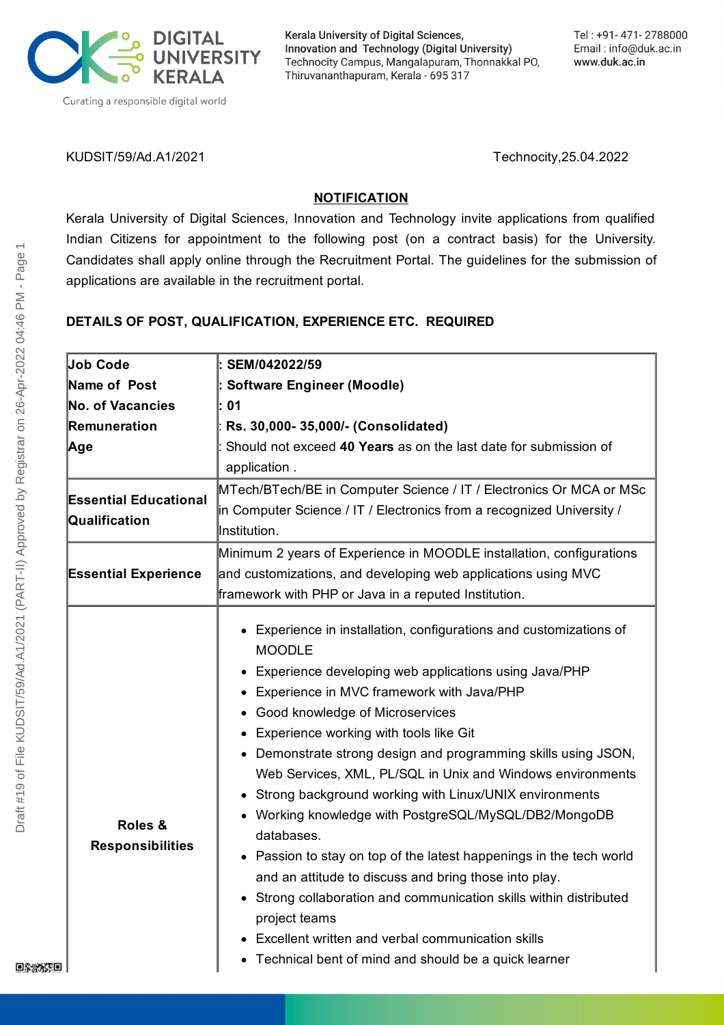

Kerala University of Digital Sciences, Innovation and Technology (Digital University) Technocity Campus, Mangalapuram, Thonnakkal PO, Thiruvananthapuram, Kerala - 695 317

KUDSIT/59/Ad.A1/2021 Technocity,25.04.2022

# **NOTIFICATION**

Kerala University of Digital Sciences, Innovation and Technology invite applications from qualified Indian Citizens for appointment to the following post (on a contract basis) for the University. Candidates shall apply online through the Recruitment Portal. The guidelines for the submission of applications are available in the recruitment portal.

# **DETAILS OF POST, QUALIFICATION, EXPERIENCE ETC. REQUIRED**

| Job Code                                      | SEM/042022/59                                                                                                                                                                                                                                                                                                                                                                                                                                                                                                                                                                                                                                                                                                                                                                                                                                                                 |
|-----------------------------------------------|-------------------------------------------------------------------------------------------------------------------------------------------------------------------------------------------------------------------------------------------------------------------------------------------------------------------------------------------------------------------------------------------------------------------------------------------------------------------------------------------------------------------------------------------------------------------------------------------------------------------------------------------------------------------------------------------------------------------------------------------------------------------------------------------------------------------------------------------------------------------------------|
| Name of Post                                  | <b>Software Engineer (Moodle)</b>                                                                                                                                                                                                                                                                                                                                                                                                                                                                                                                                                                                                                                                                                                                                                                                                                                             |
| <b>No. of Vacancies</b>                       | 01                                                                                                                                                                                                                                                                                                                                                                                                                                                                                                                                                                                                                                                                                                                                                                                                                                                                            |
| Remuneration                                  | Rs. 30,000-35,000/- (Consolidated)                                                                                                                                                                                                                                                                                                                                                                                                                                                                                                                                                                                                                                                                                                                                                                                                                                            |
| Age                                           | Should not exceed 40 Years as on the last date for submission of                                                                                                                                                                                                                                                                                                                                                                                                                                                                                                                                                                                                                                                                                                                                                                                                              |
|                                               | application.                                                                                                                                                                                                                                                                                                                                                                                                                                                                                                                                                                                                                                                                                                                                                                                                                                                                  |
| <b>Essential Educational</b><br>Qualification | MTech/BTech/BE in Computer Science / IT / Electronics Or MCA or MSc                                                                                                                                                                                                                                                                                                                                                                                                                                                                                                                                                                                                                                                                                                                                                                                                           |
|                                               | in Computer Science / IT / Electronics from a recognized University /                                                                                                                                                                                                                                                                                                                                                                                                                                                                                                                                                                                                                                                                                                                                                                                                         |
|                                               | Institution.                                                                                                                                                                                                                                                                                                                                                                                                                                                                                                                                                                                                                                                                                                                                                                                                                                                                  |
| <b>Essential Experience</b>                   | Minimum 2 years of Experience in MOODLE installation, configurations                                                                                                                                                                                                                                                                                                                                                                                                                                                                                                                                                                                                                                                                                                                                                                                                          |
|                                               | and customizations, and developing web applications using MVC                                                                                                                                                                                                                                                                                                                                                                                                                                                                                                                                                                                                                                                                                                                                                                                                                 |
|                                               | framework with PHP or Java in a reputed Institution.                                                                                                                                                                                                                                                                                                                                                                                                                                                                                                                                                                                                                                                                                                                                                                                                                          |
| Roles &<br><b>Responsibilities</b>            | Experience in installation, configurations and customizations of<br><b>MOODLE</b><br>Experience developing web applications using Java/PHP<br>• Experience in MVC framework with Java/PHP<br>• Good knowledge of Microservices<br>Experience working with tools like Git<br>• Demonstrate strong design and programming skills using JSON,<br>Web Services, XML, PL/SQL in Unix and Windows environments<br>Strong background working with Linux/UNIX environments<br>• Working knowledge with PostgreSQL/MySQL/DB2/MongoDB<br>databases.<br>• Passion to stay on top of the latest happenings in the tech world<br>and an attitude to discuss and bring those into play.<br>• Strong collaboration and communication skills within distributed<br>project teams<br>Excellent written and verbal communication skills<br>Technical bent of mind and should be a quick learner |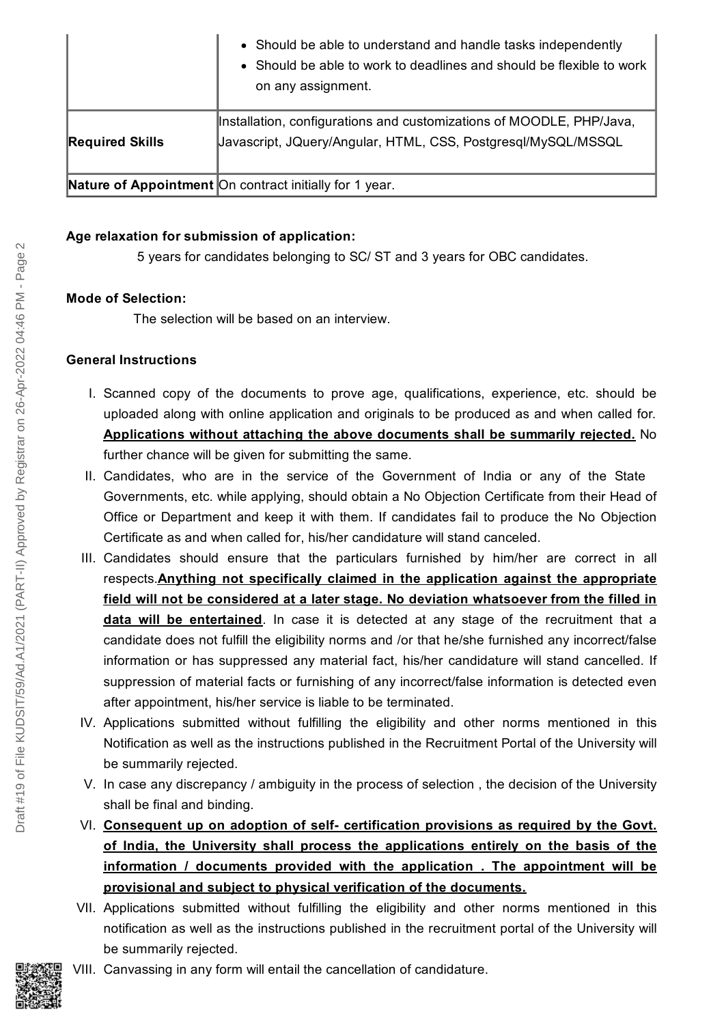|                        | • Should be able to understand and handle tasks independently<br>Should be able to work to deadlines and should be flexible to work<br>$\bullet$<br>on any assignment. |
|------------------------|------------------------------------------------------------------------------------------------------------------------------------------------------------------------|
| <b>Required Skills</b> | Installation, configurations and customizations of MOODLE, PHP/Java,<br>Javascript, JQuery/Angular, HTML, CSS, Postgresgl/MySQL/MSSQL                                  |
|                        | <b>Nature of Appointment</b> On contract initially for 1 year.                                                                                                         |

### **Age relaxation for submission of application:**

5 years for candidates belonging to SC/ ST and 3 years for OBC candidates.

## **Mode of Selection:**

The selection will be based on an interview.

### **General Instructions**

- I. Scanned copy of the documents to prove age, qualifications, experience, etc. should be uploaded along with online application and originals to be produced as and when called for. **Applications without attaching the above documents shall be summarily rejected.** No further chance will be given for submitting the same.
- II. Candidates, who are in the service of the Government of India or any of the State Governments, etc. while applying, should obtain a No Objection Certificate from their Head of Office or Department and keep it with them. If candidates fail to produce the No Objection Certificate as and when called for, his/her candidature will stand canceled.
- III. Candidates should ensure that the particulars furnished by him/her are correct in all respects.**Anything not specifically claimed in the application against the appropriate field will not be considered at a later stage. No deviation whatsoever from the filled in data will be entertained**. In case it is detected at any stage of the recruitment that a candidate does not fulfill the eligibility norms and /or that he/she furnished any incorrect/false information or has suppressed any material fact, his/her candidature will stand cancelled. If suppression of material facts or furnishing of any incorrect/false information is detected even after appointment, his/her service is liable to be terminated.
- IV. Applications submitted without fulfilling the eligibility and other norms mentioned in this Notification as well as the instructions published in the Recruitment Portal of the University will be summarily rejected.
- V. In case any discrepancy / ambiguity in the process of selection , the decision of the University shall be final and binding.
- VI. **Consequent up on adoption of self- certification provisions as required by the Govt. of India, the University shall process the applications entirely on the basis of the information / documents provided with the application . The appointment will be provisional and subject to physical verification of the documents.**
- VII. Applications submitted without fulfilling the eligibility and other norms mentioned in this notification as well as the instructions published in the recruitment portal of the University will be summarily rejected.